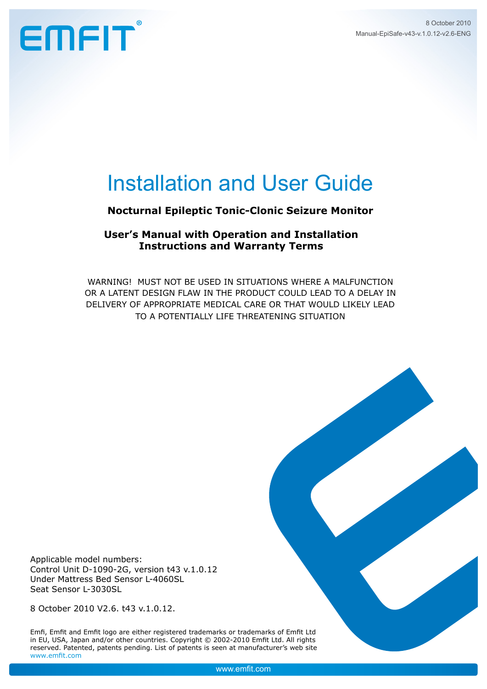## EMFIT

### Installation and User Guide

#### **Nocturnal Epileptic Tonic-Clonic Seizure Monitor**

#### **User's Manual with Operation and Installation Instructions and Warranty Terms**

WARNING! Must not be used IN SITUATIONS WHERE a malfunction or a latent design flaw in the PRODUCT COULD lead to a delay in delivery of appropriate medical care OR that would likely lead to a potentially life threatening situation

Applicable model numbers: Control Unit D-1090-2G, version t43 v.1.0.12 Under Mattress Bed Sensor L-4060SL Seat Sensor L-3030SL

8 October 2010 V2.6. t43 v.1.0.12.

Emfi, Emfit and Emfit logo are either registered trademarks or trademarks of Emfit Ltd in EU, USA, Japan and/or other countries. Copyright © 2002-2010 Emfit Ltd. All rights reserved. Patented, patents pending. List of patents is seen at manufacturer's web site www.emfit.com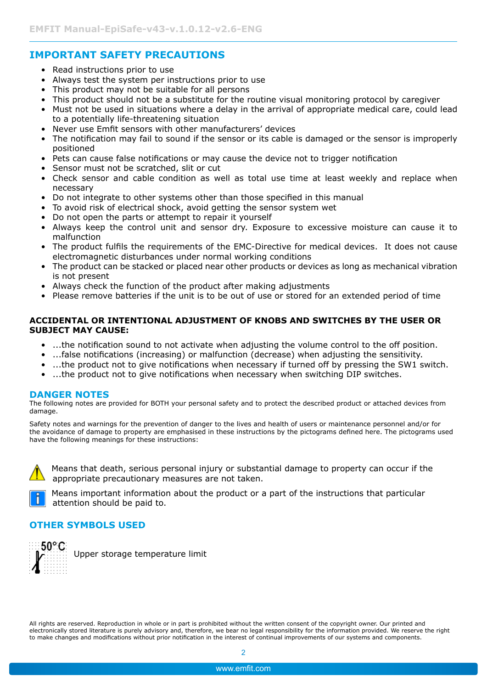#### **IMPORTANT SAFETY PRECAUTIONS**

- Read instructions prior to use
- Always test the system per instructions prior to use
- This product may not be suitable for all persons
- This product should not be a substitute for the routine visual monitoring protocol by caregiver
- Must not be used in situations where a delay in the arrival of appropriate medical care, could lead to a potentially life-threatening situation
- Never use Emfit sensors with other manufacturers' devices
- The notification may fail to sound if the sensor or its cable is damaged or the sensor is improperly positioned
- Pets can cause false notifications or may cause the device not to trigger notification
- Sensor must not be scratched, slit or cut
- Check sensor and cable condition as well as total use time at least weekly and replace when necessary
- Do not integrate to other systems other than those specified in this manual
- To avoid risk of electrical shock, avoid getting the sensor system wet
- Do not open the parts or attempt to repair it yourself
- Always keep the control unit and sensor dry. Exposure to excessive moisture can cause it to malfunction
- The product fulfils the requirements of the EMC-Directive for medical devices. It does not cause electromagnetic disturbances under normal working conditions
- The product can be stacked or placed near other products or devices as long as mechanical vibration is not present
- Always check the function of the product after making adjustments
- Please remove batteries if the unit is to be out of use or stored for an extended period of time

#### **ACCIDENTAL OR INTENTIONAL ADJUSTMENT OF KNOBS AND SWITCHES BY THE USER OR SUBJECT MAY CAUSE:**

- ...the notification sound to not activate when adjusting the volume control to the off position.
- ...false notifications (increasing) or malfunction (decrease) when adjusting the sensitivity.
- ...the product not to give notifications when necessary if turned off by pressing the SW1 switch.
- ...the product not to give notifications when necessary when switching DIP switches.

#### **DANGER NOTES**

The following notes are provided for BOTH your personal safety and to protect the described product or attached devices from damage.

Safety notes and warnings for the prevention of danger to the lives and health of users or maintenance personnel and/or for the avoidance of damage to property are emphasised in these instructions by the pictograms defined here. The pictograms used have the following meanings for these instructions:



 Means that death, serious personal injury or substantial damage to property can occur if the appropriate precautionary measures are not taken.



 Means important information about the product or a part of the instructions that particular attention should be paid to.

#### **OTHER SYMBOLS USED**



Upper storage temperature limit

All rights are reserved. Reproduction in whole or in part is prohibited without the written consent of the copyright owner. Our printed and electronically stored literature is purely advisory and, therefore, we bear no legal responsibility for the information provided. We reserve the right to make changes and modifications without prior notification in the interest of continual improvements of our systems and components.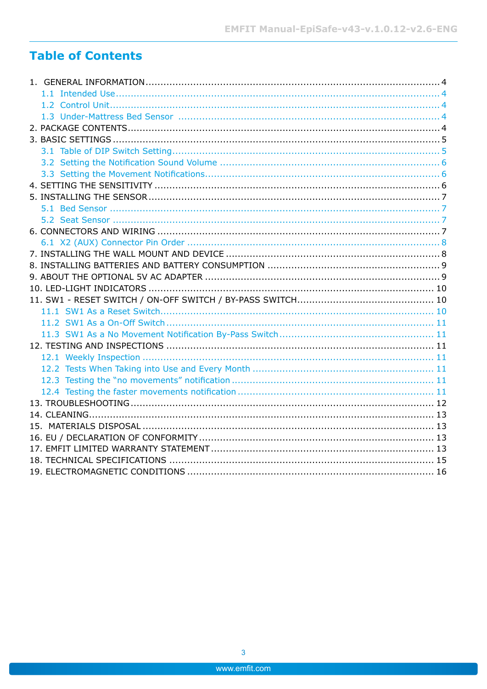#### **Table of Contents**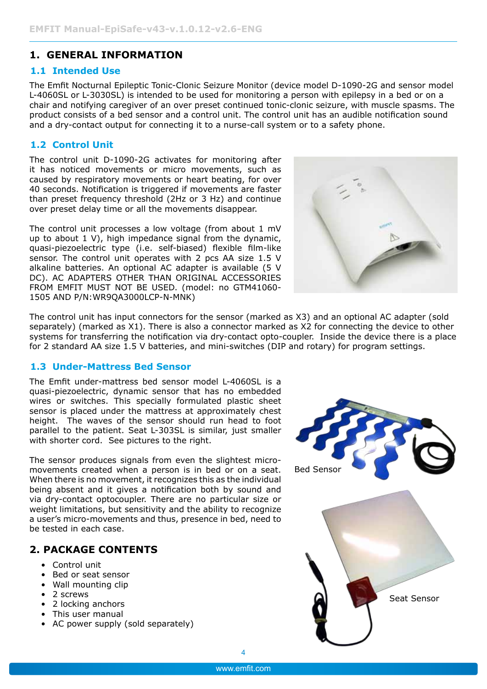#### <span id="page-3-0"></span>**1. General Information**

#### **1.1 Intended Use**

The Emfit Nocturnal Epileptic Tonic-Clonic Seizure Monitor (device model D-1090-2G and sensor model L-4060SL or L-3030SL) is intended to be used for monitoring a person with epilepsy in a bed or on a chair and notifying caregiver of an over preset continued tonic-clonic seizure, with muscle spasms. The product consists of a bed sensor and a control unit. The control unit has an audible notification sound and a dry-contact output for connecting it to a nurse-call system or to a safety phone.

#### **1.2 Control Unit**

The control unit D-1090-2G activates for monitoring after it has noticed movements or micro movements, such as caused by respiratory movements or heart beating, for over 40 seconds. Notification is triggered if movements are faster than preset frequency threshold (2Hz or 3 Hz) and continue over preset delay time or all the movements disappear.

The control unit processes a low voltage (from about 1 mV up to about 1 V), high impedance signal from the dynamic, quasi-piezoelectric type (i.e. self-biased) flexible film-like sensor. The control unit operates with 2 pcs AA size 1.5 V alkaline batteries. An optional AC adapter is available (5 V DC). AC adapters other than ORIGINAL Accessories FROM EMFIT MUST NOT BE USED. (model: no GTM41060-1505 AND P/N:WR9QA3000LCP-N-MNK)



The control unit has input connectors for the sensor (marked as X3) and an optional AC adapter (sold separately) (marked as X1). There is also a connector marked as X2 for connecting the device to other systems for transferring the notification via dry-contact opto-coupler. Inside the device there is a place for 2 standard AA size 1.5 V batteries, and mini-switches (DIP and rotary) for program settings.

#### **1.3 Under-Mattress Bed Sensor**

The Emfit under-mattress bed sensor model L-4060SL is a quasi-piezoelectric, dynamic sensor that has no embedded wires or switches. This specially formulated plastic sheet sensor is placed under the mattress at approximately chest height. The waves of the sensor should run head to foot parallel to the patient. Seat L-303SL is similar, just smaller with shorter cord. See pictures to the right.

The sensor produces signals from even the slightest micromovements created when a person is in bed or on a seat. When there is no movement, it recognizes this as the individual being absent and it gives a notification both by sound and via dry-contact optocoupler. There are no particular size or weight limitations, but sensitivity and the ability to recognize a user's micro-movements and thus, presence in bed, need to be tested in each case.

#### **2. Package Contents**

- Control unit
- Bed or seat sensor
- Wall mounting clip
- 2 screws
- 2 locking anchors
- This user manual
- AC power supply (sold separately)

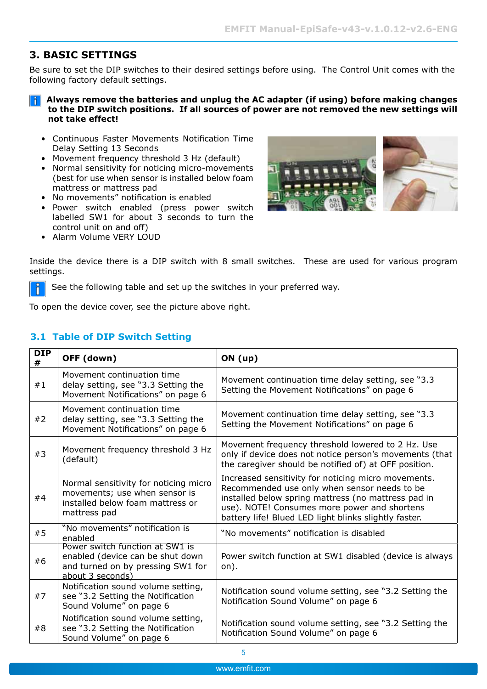#### <span id="page-4-0"></span>**3. Basic Settings**

Be sure to set the DIP switches to their desired settings before using. The Control Unit comes with the following factory default settings.

#### **Always remove the batteries and unplug the AC adapter (if using) before making changes to the DIP switch positions. If all sources of power are not removed the new settings will not take effect!**

- Continuous Faster Movements Notification Time Delay Setting 13 Seconds
- Movement frequency threshold 3 Hz (default)
- Normal sensitivity for noticing micro-movements (best for use when sensor is installed below foam mattress or mattress pad
- No movements" notification is enabled
- Power switch enabled (press power switch labelled SW1 for about 3 seconds to turn the control unit on and off)
- Alarm Volume VERY LOUD



Inside the device there is a DIP switch with 8 small switches. These are used for various program settings.

 See the following table and set up the switches in your preferred way. Ĭ

To open the device cover, see the picture above right.

#### **3.1 Table of DIP Switch Setting**

| <b>DIP</b><br># | OFF (down)                                                                                                                   | ON (up)                                                                                                                                                                                                                                                             |
|-----------------|------------------------------------------------------------------------------------------------------------------------------|---------------------------------------------------------------------------------------------------------------------------------------------------------------------------------------------------------------------------------------------------------------------|
| #1              | Movement continuation time<br>delay setting, see "3.3 Setting the<br>Movement Notifications" on page 6                       | Movement continuation time delay setting, see "3.3"<br>Setting the Movement Notifications" on page 6                                                                                                                                                                |
| #2              | Movement continuation time<br>delay setting, see "3.3 Setting the<br>Movement Notifications" on page 6                       | Movement continuation time delay setting, see "3.3<br>Setting the Movement Notifications" on page 6                                                                                                                                                                 |
| #3              | Movement frequency threshold 3 Hz<br>(default)                                                                               | Movement frequency threshold lowered to 2 Hz. Use<br>only if device does not notice person's movements (that<br>the caregiver should be notified of) at OFF position.                                                                                               |
| #4              | Normal sensitivity for noticing micro<br>movements; use when sensor is<br>installed below foam mattress or<br>mattress pad   | Increased sensitivity for noticing micro movements.<br>Recommended use only when sensor needs to be<br>installed below spring mattress (no mattress pad in<br>use). NOTE! Consumes more power and shortens<br>battery life! Blued LED light blinks slightly faster. |
| #5              | "No movements" notification is<br>enabled                                                                                    | "No movements" notification is disabled                                                                                                                                                                                                                             |
| #6              | Power switch function at SW1 is<br>enabled (device can be shut down<br>and turned on by pressing SW1 for<br>about 3 seconds) | Power switch function at SW1 disabled (device is always<br>on).                                                                                                                                                                                                     |
| #7              | Notification sound volume setting,<br>see "3.2 Setting the Notification<br>Sound Volume" on page 6                           | Notification sound volume setting, see "3.2 Setting the<br>Notification Sound Volume" on page 6                                                                                                                                                                     |
| #8              | Notification sound volume setting,<br>see "3.2 Setting the Notification<br>Sound Volume" on page 6                           | Notification sound volume setting, see "3.2 Setting the<br>Notification Sound Volume" on page 6                                                                                                                                                                     |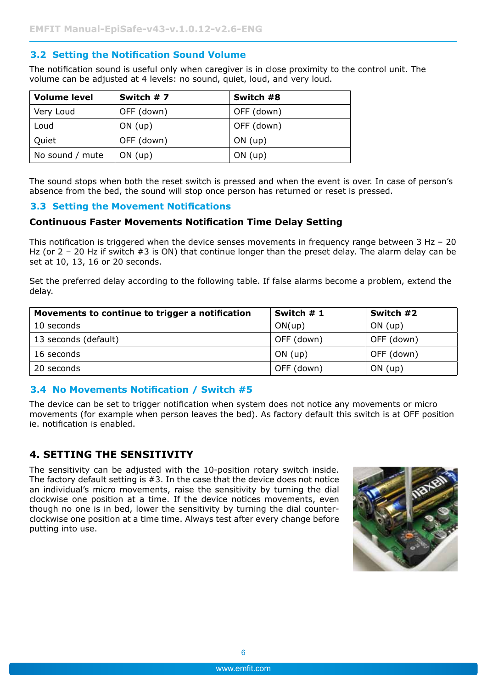#### <span id="page-5-2"></span><span id="page-5-0"></span>**3.2 Setting the Notification Sound Volume**

The notification sound is useful only when caregiver is in close proximity to the control unit. The volume can be adjusted at 4 levels: no sound, quiet, loud, and very loud.

| Volume level    | Switch #7  | Switch #8  |
|-----------------|------------|------------|
| Very Loud       | OFF (down) | OFF (down) |
| Loud            | $ON$ (up)  | OFF (down) |
| Quiet           | OFF (down) | $ON$ (up)  |
| No sound / mute | $ON$ (up)  | $ON$ (up)  |

The sound stops when both the reset switch is pressed and when the event is over. In case of person's absence from the bed, the sound will stop once person has returned or reset is pressed.

#### <span id="page-5-1"></span>**3.3 Setting the Movement Notifications**

#### **Continuous Faster Movements Notification Time Delay Setting**

This notification is triggered when the device senses movements in frequency range between  $3 Hz - 20$ Hz (or 2 - 20 Hz if switch #3 is ON) that continue longer than the preset delay. The alarm delay can be set at 10, 13, 16 or 20 seconds.

Set the preferred delay according to the following table. If false alarms become a problem, extend the delay.

| Movements to continue to trigger a notification | Switch # 1 | Switch #2  |
|-------------------------------------------------|------------|------------|
| 10 seconds                                      | ON(up)     | ON(up)     |
| 13 seconds (default)                            | OFF (down) | OFF (down) |
| 16 seconds                                      | $ON$ (up)  | OFF (down) |
| 20 seconds                                      | OFF (down) | $ON$ (up)  |

#### **3.4 No Movements Notification / Switch #5**

The device can be set to trigger notification when system does not notice any movements or micro movements (for example when person leaves the bed). As factory default this switch is at OFF position ie. notification is enabled.

#### <span id="page-5-3"></span>**4. Setting the sensitivity**

The sensitivity can be adjusted with the 10-position rotary switch inside. The factory default setting is #3. In the case that the device does not notice an individual's micro movements, raise the sensitivity by turning the dial clockwise one position at a time. If the device notices movements, even though no one is in bed, lower the sensitivity by turning the dial counterclockwise one position at a time time. Always test after every change before putting into use.

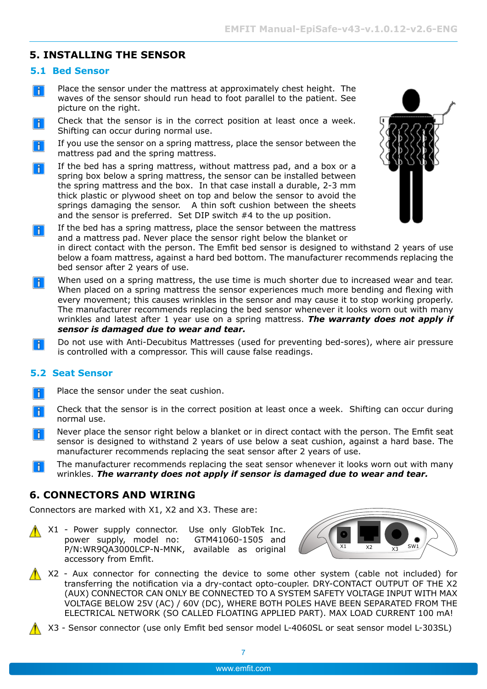#### <span id="page-6-0"></span>**5. Installing the Sensor**

#### **5.1 Bed Sensor**

- Place the sensor under the mattress at approximately chest height. The  $\| \cdot \|$ waves of the sensor should run head to foot parallel to the patient. See picture on the right.
- Check that the sensor is in the correct position at least once a week.  $\vert \, \vert$ Shifting can occur during normal use.
- If you use the sensor on a spring mattress, place the sensor between the Ħ mattress pad and the spring mattress.
- If the bed has a spring mattress, without mattress pad, and a box or a H spring box below a spring mattress, the sensor can be installed between the spring mattress and the box. In that case install a durable, 2-3 mm thick plastic or plywood sheet on top and below the sensor to avoid the springs damaging the sensor. A thin soft cushion between the sheets and the sensor is preferred. Set DIP switch #4 to the up position.
	- If the bed has a spring mattress, place the sensor between the mattress and a mattress pad. Never place the sensor right below the blanket or in direct contact with the person. The Emfit bed sensor is designed to withstand 2 years of use below a foam mattress, against a hard bed bottom. The manufacturer recommends replacing the
- bed sensor after 2 years of use. When used on a spring mattress, the use time is much shorter due to increased wear and tear. l i l When placed on a spring mattress the sensor experiences much more bending and flexing with every movement; this causes wrinkles in the sensor and may cause it to stop working properly. The manufacturer recommends replacing the bed sensor whenever it looks worn out with many wrinkles and latest after 1 year use on a spring mattress. *The warranty does not apply if sensor is damaged due to wear and tear.*
- Do not use with Anti-Decubitus Mattresses (used for preventing bed-sores), where air pressure  $|\mathbf{\hat{i}}|$ is controlled with a compressor. This will cause false readings.

#### **5.2 Seat Sensor**

 $\parallel$ i $\parallel$ 

- Place the sensor under the seat cushion. Ħ
- Check that the sensor is in the correct position at least once a week. Shifting can occur during H. normal use.
- Never place the sensor right below a blanket or in direct contact with the person. The Emfit seat H sensor is designed to withstand 2 years of use below a seat cushion, against a hard base. The manufacturer recommends replacing the seat sensor after 2 years of use.
- The manufacturer recommends replacing the seat sensor whenever it looks worn out with many l i wrinkles. *The warranty does not apply if sensor is damaged due to wear and tear.*

#### **6. Connectors and WIRING**

Connectors are marked with X1, X2 and X3. These are:

 $\bigwedge X1$  - Power supply connector. Use only GlobTek Inc. power supply, model no: GTM41060-1505 and P/N:WR9QA3000LCP-N-MNK, available as original accessory from Emfit.



- $\bigwedge$  X2 Aux connector for connecting the device to some other system (cable not included) for transferring the notification via a dry-contact opto-coupler. DRY-CONTACT OUTPUT OF THE X2 (AUX) CONNECTOR CAN ONLY BE CONNECTED TO A SYSTEM SAFETY VOLTAGE INPUT WITH MAX VOLTAGE BELOW 25V (AC) / 60V (DC), WHERE BOTH POLES HAVE BEEN SEPARaTED FROM THE ELECTRICAL NETWORK (so called floating applied part). MAX LOAD CURRENT 100 mA!
	- X3 Sensor connector (use only Emfit bed sensor model L-4060SL or seat sensor model L-303SL)

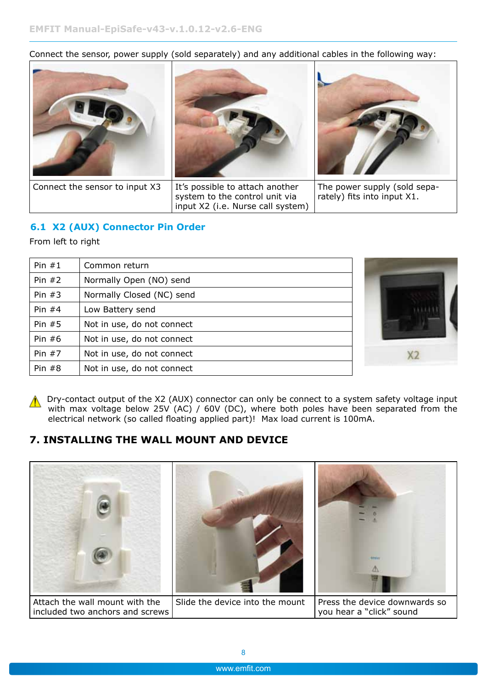<span id="page-7-0"></span>Connect the sensor, power supply (sold separately) and any additional cables in the following way:



#### **6.1 X2 (AUX) Connector Pin Order**

From left to right

| Pin $#1$ | Common return              |  |
|----------|----------------------------|--|
| Pin $#2$ | Normally Open (NO) send    |  |
| Pin $#3$ | Normally Closed (NC) send  |  |
| Pin $#4$ | Low Battery send           |  |
| Pin $#5$ | Not in use, do not connect |  |
| Pin $#6$ | Not in use, do not connect |  |
| Pin $#7$ | Not in use, do not connect |  |
| Pin $#8$ | Not in use, do not connect |  |

**A** Dry-contact output of the X2 (AUX) connector can only be connect to a system safety voltage input with max voltage below 25V (AC) / 60V (DC), where both poles have been separated from the electrical network (so called floating applied part)! Max load current is 100mA.

#### **7. Installing the wall mount and device**

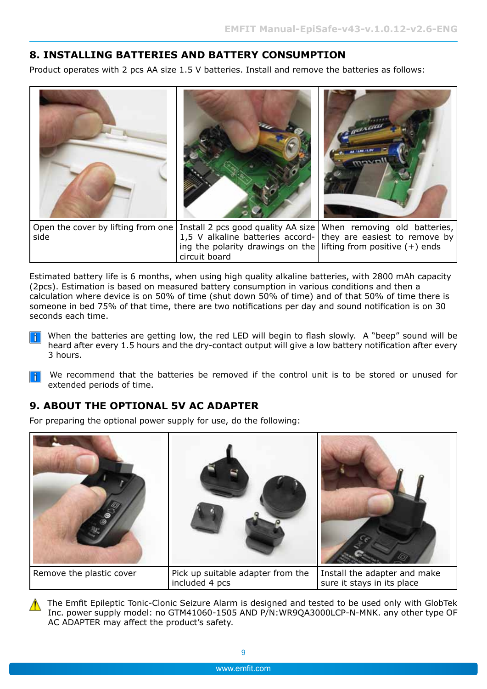#### <span id="page-8-0"></span>**8. INSTALLING Batteries and BATTERY COnSUMPTION**

Product operates with 2 pcs AA size 1.5 V batteries. Install and remove the batteries as follows:



Estimated battery life is 6 months, when using high quality alkaline batteries, with 2800 mAh capacity (2pcs). Estimation is based on measured battery consumption in various conditions and then a calculation where device is on 50% of time (shut down 50% of time) and of that 50% of time there is someone in bed 75% of that time, there are two notifications per day and sound notification is on 30 seconds each time.

 When the batteries are getting low, the red LED will begin to flash slowly. A "beep" sound will be heard after every 1.5 hours and the dry-contact output will give a low battery notification after every 3 hours.

**F** We recommend that the batteries be removed if the control unit is to be stored or unused for extended periods of time.

#### **9. About The Optional 5V AC Adapter**

For preparing the optional power supply for use, do the following:



 The Emfit Epileptic Tonic-Clonic Seizure Alarm is designed and tested to be used only with GlobTek Inc. power supply model: no GTM41060-1505 AND P/N:WR9QA3000LCP-N-MNK. any other type OF AC ADAPTER may affect the product's safety.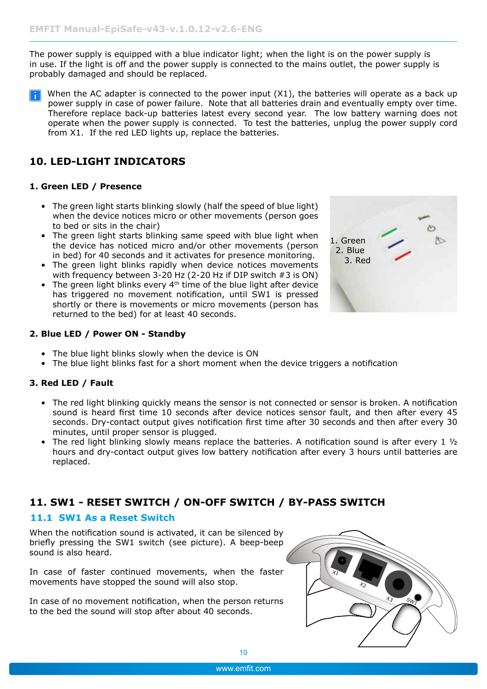<span id="page-9-0"></span>The power supply is equipped with a blue indicator light; when the light is on the power supply is in use. If the light is off and the power supply is connected to the mains outlet, the power supply is probably damaged and should be replaced.

 $\mathbf{F}$  When the AC adapter is connected to the power input (X1), the batteries will operate as a back up power supply in case of power failure. Note that all batteries drain and eventually empty over time. Therefore replace back-up batteries latest every second year. The low battery warning does not operate when the power supply is connected. To test the batteries, unplug the power supply cord from X1. If the red LED lights up, replace the batteries.

#### **10. LED-Light indicators**

#### **1. Green LED / Presence**

- The green light starts blinking slowly (half the speed of blue light) when the device notices micro or other movements (person goes to bed or sits in the chair)
- The green light starts blinking same speed with blue light when the device has noticed micro and/or other movements (person in bed) for 40 seconds and it activates for presence monitoring.
- The green light blinks rapidly when device notices movements with frequency between 3-20 Hz (2-20 Hz if DIP switch #3 is ON)
- The green light blinks every  $4<sup>th</sup>$  time of the blue light after device has triggered no movement notification, until SW1 is pressed shortly or there is movements or micro movements (person has returned to the bed) for at least 40 seconds.



- The blue light blinks slowly when the device is ON
- The blue light blinks fast for a short moment when the device triggers a notification

#### **3. Red LED / Fault**

- The red light blinking quickly means the sensor is not connected or sensor is broken. A notification sound is heard first time 10 seconds after device notices sensor fault, and then after every 45 seconds. Dry-contact output gives notification first time after 30 seconds and then after every 30 minutes, until proper sensor is plugged.
- The red light blinking slowly means replace the batteries. A notification sound is after every 1  $\frac{1}{2}$ hours and dry-contact output gives low battery notification after every 3 hours until batteries are replaced.

#### **11. SW1 - Reset Switch / ON-OFF switch / By-PASS SWITCH**

#### **11.1 SW1 As a Reset Switch**

When the notification sound is activated, it can be silenced by briefly pressing the SW1 switch (see picture). A beep-beep sound is also heard.

In case of faster continued movements, when the faster movements have stopped the sound will also stop.

In case of no movement notification, when the person returns to the bed the sound will stop after about 40 seconds.



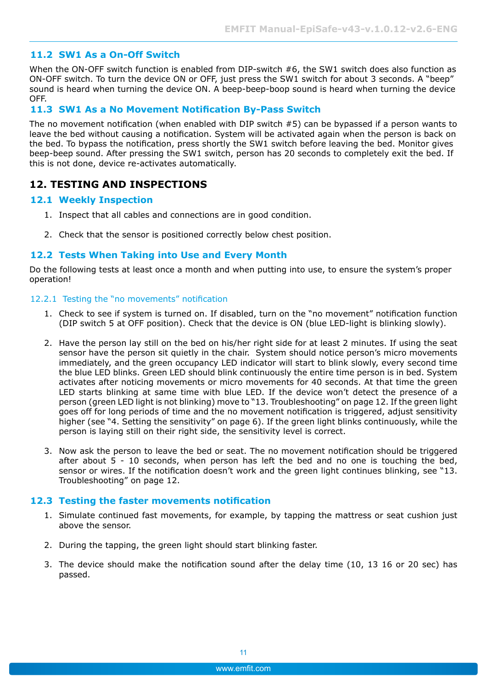#### <span id="page-10-0"></span>**11.2 SW1 As a On-Off Switch**

When the ON-OFF switch function is enabled from DIP-switch #6, the SW1 switch does also function as ON-OFF switch. To turn the device ON or OFF, just press the SW1 switch for about 3 seconds. A "beep" sound is heard when turning the device ON. A beep-beep-boop sound is heard when turning the device OFF.

#### **11.3 SW1 As a No Movement Notification By-Pass Switch**

The no movement notification (when enabled with DIP switch #5) can be bypassed if a person wants to leave the bed without causing a notification. System will be activated again when the person is back on the bed. To bypass the notification, press shortly the SW1 switch before leaving the bed. Monitor gives beep-beep sound. After pressing the SW1 switch, person has 20 seconds to completely exit the bed. If this is not done, device re-activates automatically.

#### **12. TESTING AND INSPECTIONS**

#### **12.1 Weekly Inspection**

- 1. Inspect that all cables and connections are in good condition.
- 2. Check that the sensor is positioned correctly below chest position.

#### **12.2 Tests When Taking into Use and Every Month**

Do the following tests at least once a month and when putting into use, to ensure the system's proper operation!

#### 12.2.1 Testing the "no movements" notification

- 1. Check to see if system is turned on. If disabled, turn on the "no movement" notification function (DIP switch 5 at OFF position). Check that the device is ON (blue LED-light is blinking slowly).
- 2. Have the person lay still on the bed on his/her right side for at least 2 minutes. If using the seat sensor have the person sit quietly in the chair. System should notice person's micro movements immediately, and the green occupancy LED indicator will start to blink slowly, every second time the blue LED blinks. Green LED should blink continuously the entire time person is in bed. System activates after noticing movements or micro movements for 40 seconds. At that time the green LED starts blinking at same time with blue LED. If the device won't detect the presence of a person (green LED light is not blinking) move to ["13. Troubleshooting" on page 12.](#page-11-1) If the green light goes off for long periods of time and the no movement notification is triggered, adjust sensitivity higher (see ["4. Setting the sensitivity" on page 6\)](#page-5-3). If the green light blinks continuously, while the person is laying still on their right side, the sensitivity level is correct.
- 3. Now ask the person to leave the bed or seat. The no movement notification should be triggered after about  $5 - 10$  seconds, when person has left the bed and no one is touching the bed, sensor or wires. If the notification doesn't work and the green light continues blinking, see ["13.](#page-11-1) [Troubleshooting" on page 12](#page-11-1).

#### **12.3 Testing the faster movements notification**

- 1. Simulate continued fast movements, for example, by tapping the mattress or seat cushion just above the sensor.
- 2. During the tapping, the green light should start blinking faster.
- 3. The device should make the notification sound after the delay time (10, 13 16 or 20 sec) has passed.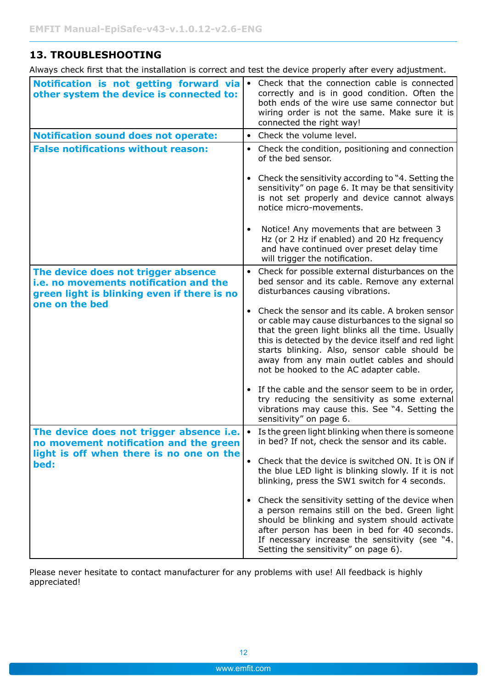#### <span id="page-11-1"></span><span id="page-11-0"></span>**13. Troubleshooting**

Always check first that the installation is correct and test the device properly after every adjustment.

| Notification is not getting forward via<br>other system the device is connected to:                                                            | Check that the connection cable is connected<br>$\bullet$<br>correctly and is in good condition. Often the<br>both ends of the wire use same connector but<br>wiring order is not the same. Make sure it is<br>connected the right way!                                                                                                                     |
|------------------------------------------------------------------------------------------------------------------------------------------------|-------------------------------------------------------------------------------------------------------------------------------------------------------------------------------------------------------------------------------------------------------------------------------------------------------------------------------------------------------------|
| <b>Notification sound does not operate:</b>                                                                                                    | • Check the volume level.                                                                                                                                                                                                                                                                                                                                   |
| <b>False notifications without reason:</b>                                                                                                     | Check the condition, positioning and connection<br>of the bed sensor.                                                                                                                                                                                                                                                                                       |
|                                                                                                                                                | Check the sensitivity according to "4. Setting the<br>sensitivity" on page 6. It may be that sensitivity<br>is not set properly and device cannot always<br>notice micro-movements.                                                                                                                                                                         |
|                                                                                                                                                | Notice! Any movements that are between 3<br>Hz (or 2 Hz if enabled) and 20 Hz frequency<br>and have continued over preset delay time<br>will trigger the notification.                                                                                                                                                                                      |
| The device does not trigger absence<br>i.e. no movements notification and the<br>green light is blinking even if there is no<br>one on the bed | Check for possible external disturbances on the<br>$\bullet$<br>bed sensor and its cable. Remove any external<br>disturbances causing vibrations.                                                                                                                                                                                                           |
|                                                                                                                                                | • Check the sensor and its cable. A broken sensor<br>or cable may cause disturbances to the signal so<br>that the green light blinks all the time. Usually<br>this is detected by the device itself and red light<br>starts blinking. Also, sensor cable should be<br>away from any main outlet cables and should<br>not be hooked to the AC adapter cable. |
|                                                                                                                                                | • If the cable and the sensor seem to be in order,<br>try reducing the sensitivity as some external<br>vibrations may cause this. See "4. Setting the<br>sensitivity" on page 6.                                                                                                                                                                            |
| The device does not trigger absence i.e.<br>no movement notification and the green                                                             | Is the green light blinking when there is someone<br>$\bullet$<br>in bed? If not, check the sensor and its cable.                                                                                                                                                                                                                                           |
| light is off when there is no one on the<br>bed:                                                                                               | Check that the device is switched ON. It is ON if<br>$\bullet$<br>the blue LED light is blinking slowly. If it is not<br>blinking, press the SW1 switch for 4 seconds.                                                                                                                                                                                      |
|                                                                                                                                                | • Check the sensitivity setting of the device when<br>a person remains still on the bed. Green light<br>should be blinking and system should activate<br>after person has been in bed for 40 seconds.<br>If necessary increase the sensitivity (see "4.<br>Setting the sensitivity" on page 6).                                                             |

Please never hesitate to contact manufacturer for any problems with use! All feedback is highly appreciated!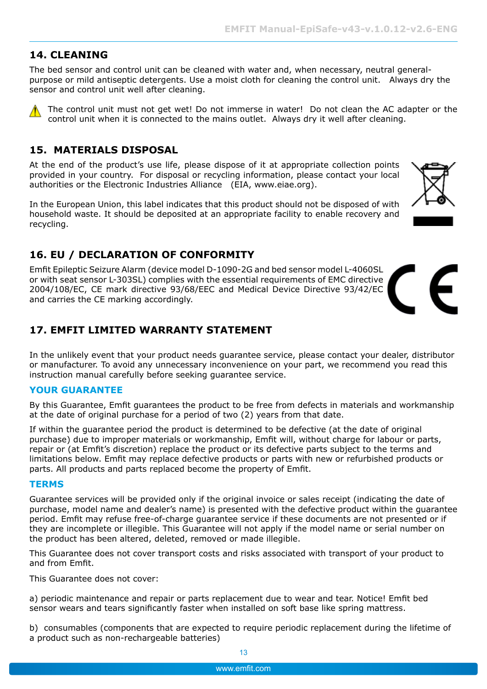#### <span id="page-12-0"></span>**14. Cleaning**

The bed sensor and control unit can be cleaned with water and, when necessary, neutral generalpurpose or mild antiseptic detergents. Use a moist cloth for cleaning the control unit. Always dry the sensor and control unit well after cleaning.

 The control unit must not get wet! Do not immerse in water! Do not clean the AC adapter or the control unit when it is connected to the mains outlet. Always dry it well after cleaning.

#### **15. MATERIALS DISPOSAL**

At the end of the product's use life, please dispose of it at appropriate collection points provided in your country. For disposal or recycling information, please contact your local authorities or the Electronic Industries Alliance (EIA, www.eiae.org).

In the European Union, this label indicates that this product should not be disposed of with household waste. It should be deposited at an appropriate facility to enable recovery and recycling.

#### **16. EU / DECLARATION OF CONFORMITY**

Emfit Epileptic Seizure Alarm (device model D-1090-2G and bed sensor model L-4060SL or with seat sensor L-303SL) complies with the essential requirements of EMC directive 2004/108/EC, CE mark directive 93/68/EEC and Medical Device Directive 93/42/EC and carries the CE marking accordingly.

#### **17. EMFIT LIMITED WARRANTY STATEMENT**

In the unlikely event that your product needs guarantee service, please contact your dealer, distributor or manufacturer. To avoid any unnecessary inconvenience on your part, we recommend you read this instruction manual carefully before seeking guarantee service.

#### **YOUR GUARANTEE**

By this Guarantee, Emfit guarantees the product to be free from defects in materials and workmanship at the date of original purchase for a period of two (2) years from that date.

If within the guarantee period the product is determined to be defective (at the date of original purchase) due to improper materials or workmanship, Emfit will, without charge for labour or parts, repair or (at Emfit's discretion) replace the product or its defective parts subject to the terms and limitations below. Emfit may replace defective products or parts with new or refurbished products or parts. All products and parts replaced become the property of Emfit.

#### **TERMS**

Guarantee services will be provided only if the original invoice or sales receipt (indicating the date of purchase, model name and dealer's name) is presented with the defective product within the guarantee period. Emfit may refuse free-of-charge guarantee service if these documents are not presented or if they are incomplete or illegible. This Guarantee will not apply if the model name or serial number on the product has been altered, deleted, removed or made illegible.

This Guarantee does not cover transport costs and risks associated with transport of your product to and from Emfit.

This Guarantee does not cover:

a) periodic maintenance and repair or parts replacement due to wear and tear. Notice! Emfit bed sensor wears and tears significantly faster when installed on soft base like spring mattress.

b) consumables (components that are expected to require periodic replacement during the lifetime of a product such as non-rechargeable batteries)





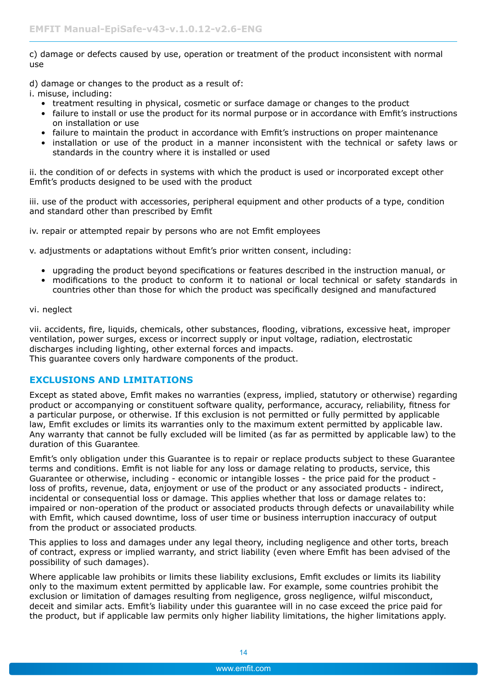c) damage or defects caused by use, operation or treatment of the product inconsistent with normal use

d) damage or changes to the product as a result of:

i. misuse, including:

- treatment resulting in physical, cosmetic or surface damage or changes to the product
- failure to install or use the product for its normal purpose or in accordance with Emfit's instructions on installation or use
- failure to maintain the product in accordance with Emfit's instructions on proper maintenance
- installation or use of the product in a manner inconsistent with the technical or safety laws or standards in the country where it is installed or used

ii. the condition of or defects in systems with which the product is used or incorporated except other Emfit's products designed to be used with the product

iii. use of the product with accessories, peripheral equipment and other products of a type, condition and standard other than prescribed by Emfit

iv. repair or attempted repair by persons who are not Emfit employees

v. adjustments or adaptations without Emfit's prior written consent, including:

- upgrading the product beyond specifications or features described in the instruction manual, or
- modifications to the product to conform it to national or local technical or safety standards in countries other than those for which the product was specifically designed and manufactured

vi. neglect

vii. accidents, fire, liquids, chemicals, other substances, flooding, vibrations, excessive heat, improper ventilation, power surges, excess or incorrect supply or input voltage, radiation, electrostatic discharges including lighting, other external forces and impacts. This guarantee covers only hardware components of the product.

#### **Exclusions and limitations**

Except as stated above, Emfit makes no warranties (express, implied, statutory or otherwise) regarding product or accompanying or constituent software quality, performance, accuracy, reliability, fitness for a particular purpose, or otherwise. If this exclusion is not permitted or fully permitted by applicable law, Emfit excludes or limits its warranties only to the maximum extent permitted by applicable law. Any warranty that cannot be fully excluded will be limited (as far as permitted by applicable law) to the duration of this Guarantee.

Emfit's only obligation under this Guarantee is to repair or replace products subject to these Guarantee terms and conditions. Emfit is not liable for any loss or damage relating to products, service, this Guarantee or otherwise, including - economic or intangible losses - the price paid for the product loss of profits, revenue, data, enjoyment or use of the product or any associated products - indirect, incidental or consequential loss or damage. This applies whether that loss or damage relates to: impaired or non-operation of the product or associated products through defects or unavailability while with Emfit, which caused downtime, loss of user time or business interruption inaccuracy of output from the product or associated products.

This applies to loss and damages under any legal theory, including negligence and other torts, breach of contract, express or implied warranty, and strict liability (even where Emfit has been advised of the possibility of such damages).

Where applicable law prohibits or limits these liability exclusions, Emfit excludes or limits its liability only to the maximum extent permitted by applicable law. For example, some countries prohibit the exclusion or limitation of damages resulting from negligence, gross negligence, wilful misconduct, deceit and similar acts. Emfit's liability under this guarantee will in no case exceed the price paid for the product, but if applicable law permits only higher liability limitations, the higher limitations apply.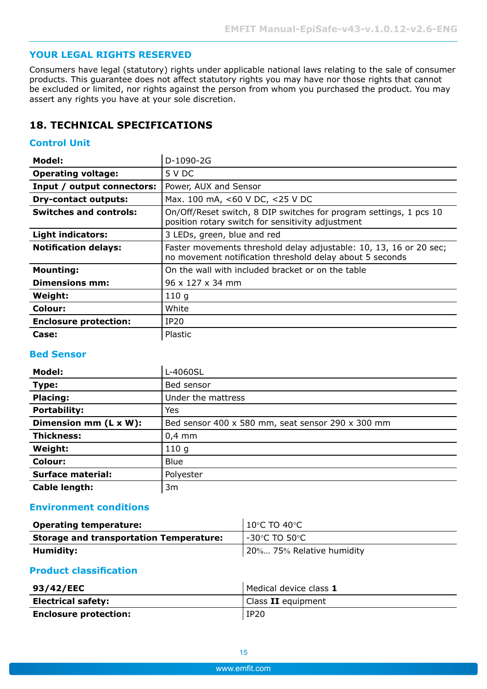#### <span id="page-14-0"></span>**YOUR LEGAL RIGHTS RESERVED**

Consumers have legal (statutory) rights under applicable national laws relating to the sale of consumer products. This guarantee does not affect statutory rights you may have nor those rights that cannot be excluded or limited, nor rights against the person from whom you purchased the product. You may assert any rights you have at your sole discretion.

#### **18. TECHNICAL SPECIFICATIONS**

#### **Control Unit**

| <b>Model:</b>                 | D-1090-2G                                                                                                                      |  |
|-------------------------------|--------------------------------------------------------------------------------------------------------------------------------|--|
| <b>Operating voltage:</b>     | 5 V DC                                                                                                                         |  |
| Input / output connectors:    | Power, AUX and Sensor                                                                                                          |  |
| <b>Dry-contact outputs:</b>   | Max. 100 mA, <60 V DC, <25 V DC                                                                                                |  |
| <b>Switches and controls:</b> | On/Off/Reset switch, 8 DIP switches for program settings, 1 pcs 10<br>position rotary switch for sensitivity adjustment        |  |
| <b>Light indicators:</b>      | 3 LEDs, green, blue and red                                                                                                    |  |
| <b>Notification delays:</b>   | Faster movements threshold delay adjustable: 10, 13, 16 or 20 sec;<br>no movement notification threshold delay about 5 seconds |  |
| <b>Mounting:</b>              | On the wall with included bracket or on the table                                                                              |  |
| Dimensions mm:                | $96 \times 127 \times 34$ mm                                                                                                   |  |
| Weight:                       | 110q                                                                                                                           |  |
| Colour:                       | White                                                                                                                          |  |
| <b>Enclosure protection:</b>  | <b>IP20</b>                                                                                                                    |  |
| Case:                         | Plastic                                                                                                                        |  |

#### **Bed Sensor**

| Model:                   | L-4060SL                                          |  |  |
|--------------------------|---------------------------------------------------|--|--|
| Type:                    | Bed sensor                                        |  |  |
| <b>Placing:</b>          | Under the mattress                                |  |  |
| <b>Portability:</b>      | Yes                                               |  |  |
| Dimension mm (L x W):    | Bed sensor 400 x 580 mm, seat sensor 290 x 300 mm |  |  |
| <b>Thickness:</b>        | $0,4$ mm                                          |  |  |
| Weight:                  | 110q                                              |  |  |
| <b>Colour:</b>           | <b>Blue</b>                                       |  |  |
| <b>Surface material:</b> | Polyester                                         |  |  |
| Cable length:            | 3m                                                |  |  |

#### **Environment conditions**

| <b>Operating temperature:</b>                  | $10^{\circ}$ C TO 40 $^{\circ}$ C |
|------------------------------------------------|-----------------------------------|
| <b>Storage and transportation Temperature:</b> | -30°C TO 50°C                     |
| Humidity:                                      | 20% 75% Relative humidity         |

#### **Product classification**

| 93/42/EEC                    | Medical device class 1 |
|------------------------------|------------------------|
| <b>Electrical safety:</b>    | Class II equipment     |
| <b>Enclosure protection:</b> | IP20                   |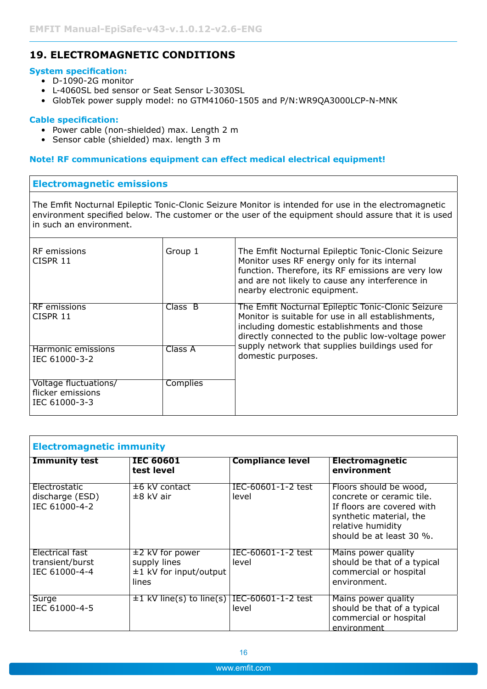#### <span id="page-15-0"></span>**19. ELECTROMAGNETIC CONDITIONS**

#### **System specification:**

- D-1090-2G monitor
- L-4060SL bed sensor or Seat Sensor L-3030SL
- GlobTek power supply model: no GTM41060-1505 and P/N:WR9QA3000LCP-N-MNK

#### **Cable specification:**

- Power cable (non-shielded) max. Length 2 m
- Sensor cable (shielded) max. length 3 m

#### **Note! RF communications equipment can effect medical electrical equipment!**

#### **Electromagnetic emissions**

The Emfit Nocturnal Epileptic Tonic-Clonic Seizure Monitor is intended for use in the electromagnetic environment specified below. The customer or the user of the equipment should assure that it is used in such an environment.

| <b>RF</b> emissions<br>CISPR 11                             | Group 1         | The Emfit Nocturnal Epileptic Tonic-Clonic Seizure<br>Monitor uses RF energy only for its internal<br>function. Therefore, its RF emissions are very low<br>and are not likely to cause any interference in<br>nearby electronic equipment. |
|-------------------------------------------------------------|-----------------|---------------------------------------------------------------------------------------------------------------------------------------------------------------------------------------------------------------------------------------------|
| RF emissions<br>CISPR 11                                    | Class B         | The Emfit Nocturnal Epileptic Tonic-Clonic Seizure<br>Monitor is suitable for use in all establishments,<br>including domestic establishments and those<br>directly connected to the public low-voltage power                               |
| Harmonic emissions<br>IEC 61000-3-2                         | Class A         | supply network that supplies buildings used for<br>domestic purposes.                                                                                                                                                                       |
| Voltage fluctuations/<br>flicker emissions<br>IEC 61000-3-3 | <b>Complies</b> |                                                                                                                                                                                                                                             |

| <b>Electromagnetic immunity</b>                     |                                                                           |                             |                                                                                                                                                               |  |
|-----------------------------------------------------|---------------------------------------------------------------------------|-----------------------------|---------------------------------------------------------------------------------------------------------------------------------------------------------------|--|
| <b>Immunity test</b>                                | <b>IEC 60601</b><br>test level                                            | <b>Compliance level</b>     | <b>Electromagnetic</b><br>environment                                                                                                                         |  |
| Electrostatic<br>discharge (ESD)<br>IEC 61000-4-2   | ±6 kV contact<br>$\pm 8$ kV air                                           | IEC-60601-1-2 test<br>level | Floors should be wood,<br>concrete or ceramic tile.<br>If floors are covered with<br>synthetic material, the<br>relative humidity<br>should be at least 30 %. |  |
| Electrical fast<br>transient/burst<br>IEC 61000-4-4 | $±2$ kV for power<br>supply lines<br>$\pm 1$ kV for input/output<br>lines | IEC-60601-1-2 test<br>level | Mains power quality<br>should be that of a typical<br>commercial or hospital<br>environment.                                                                  |  |
| Surge<br>IEC 61000-4-5                              | $\pm 1$ kV line(s) to line(s)                                             | IEC-60601-1-2 test<br>level | Mains power quality<br>should be that of a typical<br>commercial or hospital<br>environment                                                                   |  |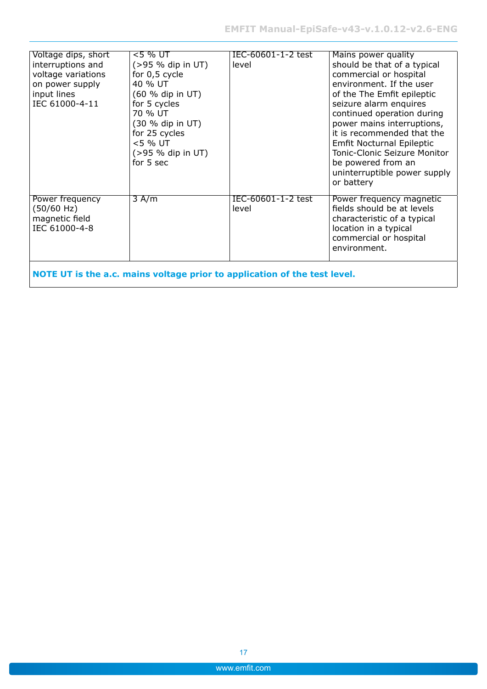| Voltage dips, short<br>interruptions and<br>voltage variations<br>on power supply<br>input lines<br>IEC 61000-4-11 | <5 % UT<br>$( > 95 %$ dip in UT)<br>for 0,5 cycle<br>40 % UT<br>(60 % dip in UT)<br>for 5 cycles<br>70 % UT<br>(30 % dip in UT)<br>for 25 cycles<br><5 % UT<br>(>95 % dip in UT)<br>for 5 sec | IEC-60601-1-2 test<br>level | Mains power quality<br>should be that of a typical<br>commercial or hospital<br>environment. If the user<br>of the The Emfit epileptic<br>seizure alarm enquires<br>continued operation during<br>power mains interruptions,<br>it is recommended that the<br><b>Emfit Nocturnal Epileptic</b><br>Tonic-Clonic Seizure Monitor<br>be powered from an<br>uninterruptible power supply<br>or battery |  |  |  |
|--------------------------------------------------------------------------------------------------------------------|-----------------------------------------------------------------------------------------------------------------------------------------------------------------------------------------------|-----------------------------|----------------------------------------------------------------------------------------------------------------------------------------------------------------------------------------------------------------------------------------------------------------------------------------------------------------------------------------------------------------------------------------------------|--|--|--|
| Power frequency<br>(50/60 Hz)<br>magnetic field<br>IEC 61000-4-8                                                   | 3 A/m                                                                                                                                                                                         | IEC-60601-1-2 test<br>level | Power frequency magnetic<br>fields should be at levels<br>characteristic of a typical<br>location in a typical<br>commercial or hospital<br>environment.                                                                                                                                                                                                                                           |  |  |  |
| NOTE UT is the a.c. mains voltage prior to application of the test level.                                          |                                                                                                                                                                                               |                             |                                                                                                                                                                                                                                                                                                                                                                                                    |  |  |  |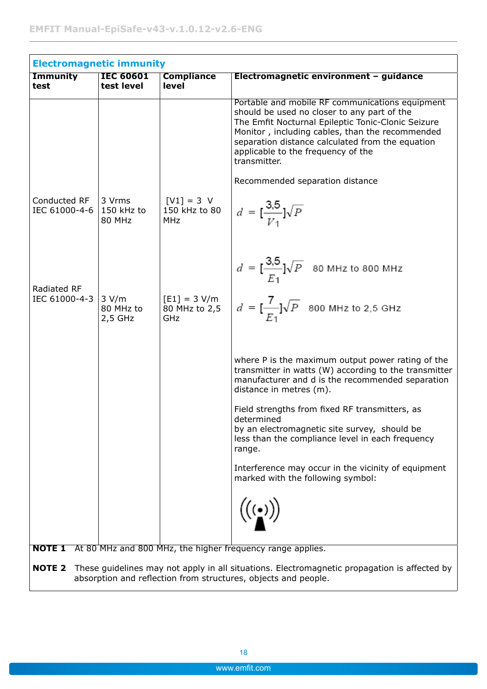| <b>Immunity</b>               | <b>IEC 60601</b>                | <b>Compliance</b>                           | Electromagnetic environment - guidance                                                                                                                                                                                                                                                                            |
|-------------------------------|---------------------------------|---------------------------------------------|-------------------------------------------------------------------------------------------------------------------------------------------------------------------------------------------------------------------------------------------------------------------------------------------------------------------|
| test                          | test level                      | level                                       |                                                                                                                                                                                                                                                                                                                   |
|                               |                                 |                                             | Portable and mobile RF communications equipment<br>should be used no closer to any part of the<br>The Emfit Nocturnal Epileptic Tonic-Clonic Seizure<br>Monitor, including cables, than the recommended<br>separation distance calculated from the equation<br>applicable to the frequency of the<br>transmitter. |
|                               |                                 |                                             | Recommended separation distance                                                                                                                                                                                                                                                                                   |
| Conducted RF<br>IEC 61000-4-6 | 3 Vrms<br>150 kHz to<br>80 MHz  | $[V1] = 3 V$<br>150 kHz to 80<br><b>MHz</b> | $d = \left[\frac{3.5}{V_1}\right] \sqrt{P}$                                                                                                                                                                                                                                                                       |
| <b>Radiated RF</b>            |                                 |                                             | $d = \frac{3.5}{E_1} \sqrt{P}$ 80 MHz to 800 MHz                                                                                                                                                                                                                                                                  |
| IEC 61000-4-3                 | 3 V/m<br>80 MHz to<br>$2,5$ GHz | $[E1] = 3 V/m$<br>80 MHz to 2,5<br>GHz      | $d = \frac{7}{E_1} \sqrt{P}$ 800 MHz to 2,5 GHz                                                                                                                                                                                                                                                                   |
|                               |                                 |                                             | where P is the maximum output power rating of the<br>transmitter in watts (W) according to the transmitter<br>manufacturer and d is the recommended separation<br>distance in metres (m).                                                                                                                         |
|                               |                                 |                                             | Field strengths from fixed RF transmitters, as<br>determined<br>by an electromagnetic site survey, should be<br>less than the compliance level in each frequency<br>range.                                                                                                                                        |
|                               |                                 |                                             | Interference may occur in the vicinity of equipment<br>marked with the following symbol:                                                                                                                                                                                                                          |
|                               |                                 |                                             |                                                                                                                                                                                                                                                                                                                   |

**NOTE 2** These guidelines may not apply in all situations. Electromagnetic propagation is affected by absorption and reflection from structures, objects and people.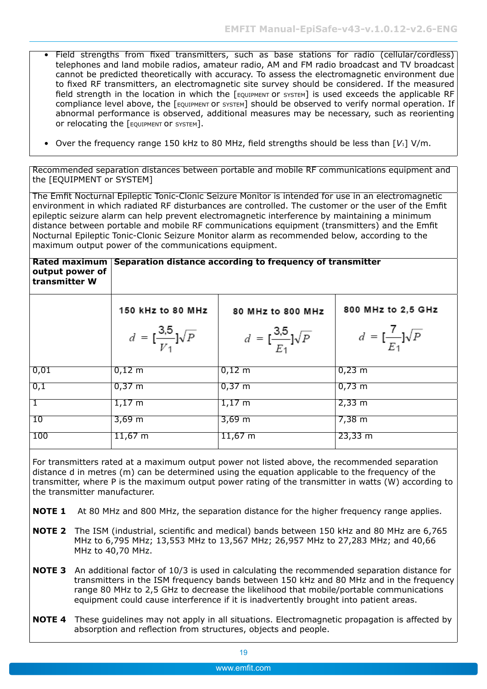- Field strengths from fixed transmitters, such as base stations for radio (cellular/cordless) telephones and land mobile radios, amateur radio, AM and FM radio broadcast and TV broadcast cannot be predicted theoretically with accuracy. To assess the electromagnetic environment due to fixed RF transmitters, an electromagnetic site survey should be considered. If the measured field strength in the location in which the [EQUIPMENT OT SYSTEM] is used exceeds the applicable RF compliance level above, the [EQUIPMENT OF SYSTEM] should be observed to verify normal operation. If abnormal performance is observed, additional measures may be necessary, such as reorienting or relocating the [EQUIPMENT or SYSTEM].
- Over the frequency range 150 kHz to 80 MHz, field strengths should be less than [*V*1] V/m.

Recommended separation distances between portable and mobile RF communications equipment and the [EQUIPMENT or SYSTEM]

The Emfit Nocturnal Epileptic Tonic-Clonic Seizure Monitor is intended for use in an electromagnetic environment in which radiated RF disturbances are controlled. The customer or the user of the Emfit epileptic seizure alarm can help prevent electromagnetic interference by maintaining a minimum distance between portable and mobile RF communications equipment (transmitters) and the Emfit Nocturnal Epileptic Tonic-Clonic Seizure Monitor alarm as recommended below, according to the maximum output power of the communications equipment.

#### **Rated maximum Separation distance according to frequency of transmitter output power of transmitter W**

|                   | 150 kHz to 80 MHz                           | 80 MHz to 800 MHz                           | 800 MHz to 2,5 GHz            |  |  |
|-------------------|---------------------------------------------|---------------------------------------------|-------------------------------|--|--|
|                   | $d = \left[\frac{3.5}{V_1}\right] \sqrt{P}$ | $d = \left[\frac{3.5}{E_1}\right] \sqrt{P}$ | $d = [\frac{7}{E_1}]\sqrt{P}$ |  |  |
| $\overline{0,01}$ | $0,12 \; \mathrm{m}$                        | $0,12 \; \text{m}$                          | $0,23 \; \text{m}$            |  |  |
| 0,1               | $0,37 \; \text{m}$                          | $0,37 \; \text{m}$                          | $0,73 \; \text{m}$            |  |  |
| $\overline{1}$    | $1,17 \text{ m}$                            | $1,17 \; \mathrm{m}$                        | $2,33 \, \text{m}$            |  |  |
| 10                | $3,69 \; \text{m}$                          | $3,69 \,\mathrm{m}$                         | $7,38 \; \text{m}$            |  |  |
| 100               | $11,67 \;{\rm m}$                           | $11,67 \; m$                                | $23,33 \,\mathrm{m}$          |  |  |

For transmitters rated at a maximum output power not listed above, the recommended separation distance d in metres (m) can be determined using the equation applicable to the frequency of the transmitter, where P is the maximum output power rating of the transmitter in watts (W) according to the transmitter manufacturer.

- **NOTE 1** At 80 MHz and 800 MHz, the separation distance for the higher frequency range applies.
- **NOTE 2** The ISM (industrial, scientific and medical) bands between 150 kHz and 80 MHz are 6,765 MHz to 6,795 MHz; 13,553 MHz to 13,567 MHz; 26,957 MHz to 27,283 MHz; and 40,66 MHz to 40,70 MHz.
- **NOTE 3** An additional factor of 10/3 is used in calculating the recommended separation distance for transmitters in the ISM frequency bands between 150 kHz and 80 MHz and in the frequency range 80 MHz to 2,5 GHz to decrease the likelihood that mobile/portable communications equipment could cause interference if it is inadvertently brought into patient areas.
- **NOTE 4** These guidelines may not apply in all situations. Electromagnetic propagation is affected by absorption and reflection from structures, objects and people.